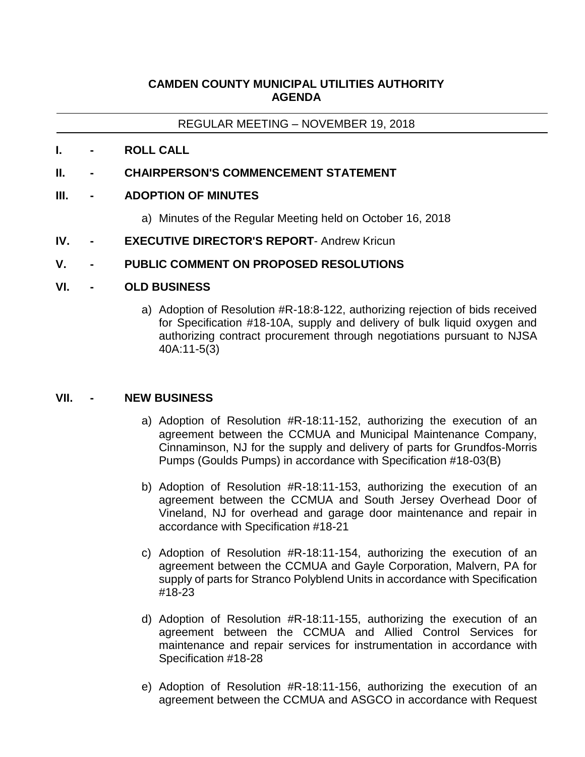# **CAMDEN COUNTY MUNICIPAL UTILITIES AUTHORITY AGENDA**

REGULAR MEETING – NOVEMBER 19, 2018

**I. - ROLL CALL**

## **II. - CHAIRPERSON'S COMMENCEMENT STATEMENT**

## **III. - ADOPTION OF MINUTES**

- a) Minutes of the Regular Meeting held on October 16, 2018
- **IV. - EXECUTIVE DIRECTOR'S REPORT** Andrew Kricun

# **V. - PUBLIC COMMENT ON PROPOSED RESOLUTIONS**

### **VI. - OLD BUSINESS**

a) Adoption of Resolution #R-18:8-122, authorizing rejection of bids received for Specification #18-10A, supply and delivery of bulk liquid oxygen and authorizing contract procurement through negotiations pursuant to NJSA 40A:11-5(3)

### **VII. - NEW BUSINESS**

- a) Adoption of Resolution #R-18:11-152, authorizing the execution of an agreement between the CCMUA and Municipal Maintenance Company, Cinnaminson, NJ for the supply and delivery of parts for Grundfos-Morris Pumps (Goulds Pumps) in accordance with Specification #18-03(B)
- b) Adoption of Resolution #R-18:11-153, authorizing the execution of an agreement between the CCMUA and South Jersey Overhead Door of Vineland, NJ for overhead and garage door maintenance and repair in accordance with Specification #18-21
- c) Adoption of Resolution #R-18:11-154, authorizing the execution of an agreement between the CCMUA and Gayle Corporation, Malvern, PA for supply of parts for Stranco Polyblend Units in accordance with Specification #18-23
- d) Adoption of Resolution #R-18:11-155, authorizing the execution of an agreement between the CCMUA and Allied Control Services for maintenance and repair services for instrumentation in accordance with Specification #18-28
- e) Adoption of Resolution #R-18:11-156, authorizing the execution of an agreement between the CCMUA and ASGCO in accordance with Request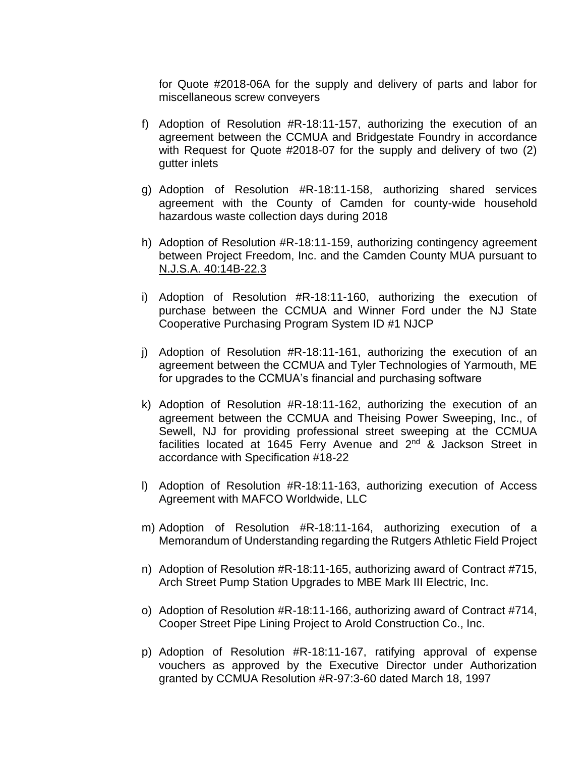for Quote #2018-06A for the supply and delivery of parts and labor for miscellaneous screw conveyers

- f) Adoption of Resolution #R-18:11-157, authorizing the execution of an agreement between the CCMUA and Bridgestate Foundry in accordance with Request for Quote #2018-07 for the supply and delivery of two (2) gutter inlets
- g) Adoption of Resolution #R-18:11-158, authorizing shared services agreement with the County of Camden for county-wide household hazardous waste collection days during 2018
- h) Adoption of Resolution #R-18:11-159, authorizing contingency agreement between Project Freedom, Inc. and the Camden County MUA pursuant to N.J.S.A. 40:14B-22.3
- i) Adoption of Resolution #R-18:11-160, authorizing the execution of purchase between the CCMUA and Winner Ford under the NJ State Cooperative Purchasing Program System ID #1 NJCP
- j) Adoption of Resolution #R-18:11-161, authorizing the execution of an agreement between the CCMUA and Tyler Technologies of Yarmouth, ME for upgrades to the CCMUA's financial and purchasing software
- k) Adoption of Resolution #R-18:11-162, authorizing the execution of an agreement between the CCMUA and Theising Power Sweeping, Inc., of Sewell, NJ for providing professional street sweeping at the CCMUA facilities located at 1645 Ferry Avenue and 2<sup>nd</sup> & Jackson Street in accordance with Specification #18-22
- l) Adoption of Resolution #R-18:11-163, authorizing execution of Access Agreement with MAFCO Worldwide, LLC
- m) Adoption of Resolution #R-18:11-164, authorizing execution of a Memorandum of Understanding regarding the Rutgers Athletic Field Project
- n) Adoption of Resolution #R-18:11-165, authorizing award of Contract #715, Arch Street Pump Station Upgrades to MBE Mark III Electric, Inc.
- o) Adoption of Resolution #R-18:11-166, authorizing award of Contract #714, Cooper Street Pipe Lining Project to Arold Construction Co., Inc.
- p) Adoption of Resolution #R-18:11-167, ratifying approval of expense vouchers as approved by the Executive Director under Authorization granted by CCMUA Resolution #R-97:3-60 dated March 18, 1997